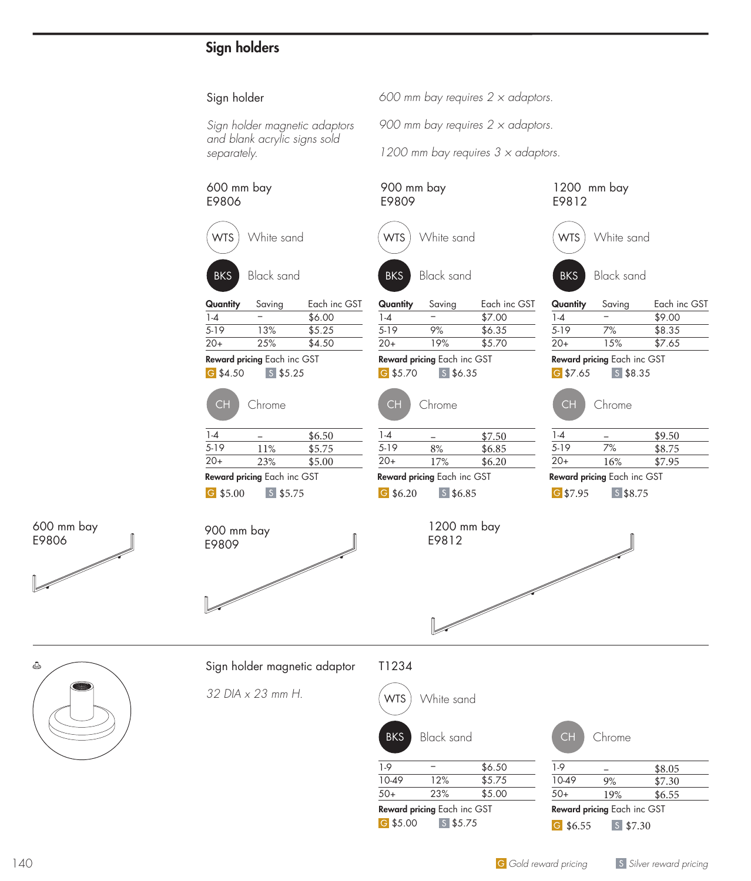# Sign holders

#### Sign holder

*Sign holder magnetic adaptors and blank acrylic signs sold separately.*

#### 600 mm bay E9806



Quantity Saving Each inc GST  $1-4$  − \$6.00 5-19 13% \$5.25 20+ 25% \$4.50

Reward pricing Each inc GST

G \$4.50 S \$5.25



| $1 - 4$                            |     | \$6.50 |
|------------------------------------|-----|--------|
| $5-19$                             | 11% | \$5.75 |
| $20+$                              | 23% | \$5.00 |
| <b>Reward pricing Each inc GST</b> |     |        |

G \$5.00 S \$5.75

900 mm bay E9809



900 mm bay E9809

WTS White sand

*600 mm bay requires 2 × adaptors.*

*900 mm bay requires 2 × adaptors.*

*1200 mm bay requires 3 × adaptors.*



Reward pricing Each inc GST

1200 mm bay

 $6.20$   $5$  \$6.85

E9812



BKS Black sand

WTS White sand

1200 mm bay

E9812

| CН    | Chrome                   |        |
|-------|--------------------------|--------|
| $1-4$ |                          | \$9.50 |
| $-1$  | $\overline{\phantom{a}}$ |        |

|       | Reward pricing Each inc GST |        |
|-------|-----------------------------|--------|
| $20+$ | 16%                         | \$7.95 |
| 5-19  | 7%                          | \$8.75 |

G \$7.95 S \$8.75





## Sign holder magnetic adaptor

*32 DIA x 23 mm H.*

## T1234



**G** \$5.00 \$ \$5.75 **6** \$6.55 \$7.30